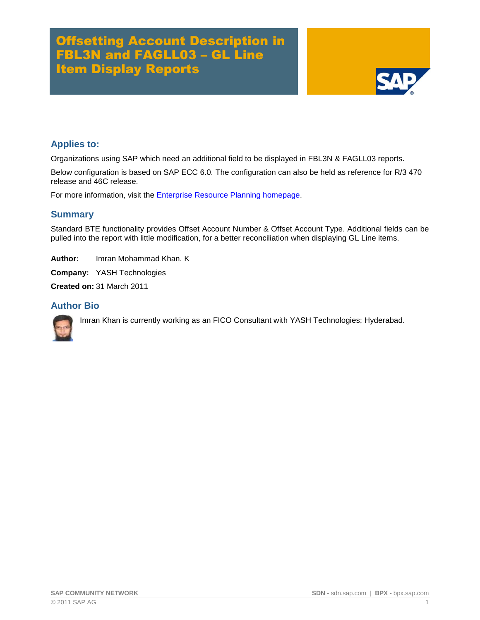# Offsetting Account Description in FBL3N and FAGLL03 – GL Line Item Display Reports



# **Applies to:**

Organizations using SAP which need an additional field to be displayed in FBL3N & FAGLL03 reports.

Below configuration is based on SAP ECC 6.0. The configuration can also be held as reference for R/3 470 release and 46C release.

For more information, visit the **Enterprise Resource Planning homepage**.

### **Summary**

Standard BTE functionality provides Offset Account Number & Offset Account Type. Additional fields can be pulled into the report with little modification, for a better reconciliation when displaying GL Line items.

**Author:** Imran Mohammad Khan. K

**Company:** YASH Technologies

**Created on:** 31 March 2011

## **Author Bio**

Imran Khan is currently working as an FICO Consultant with YASH Technologies; Hyderabad.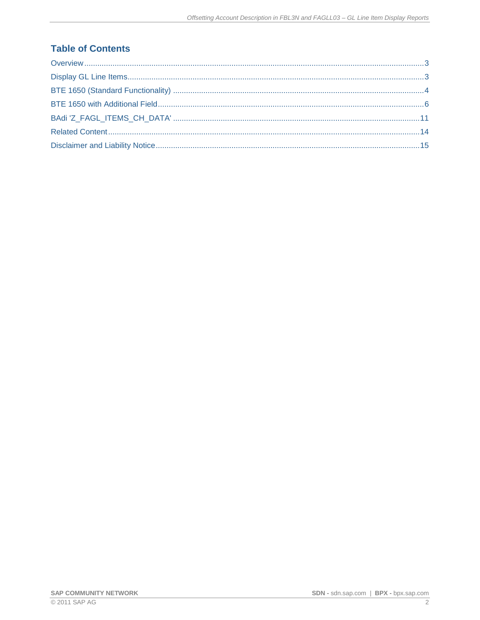# **Table of Contents**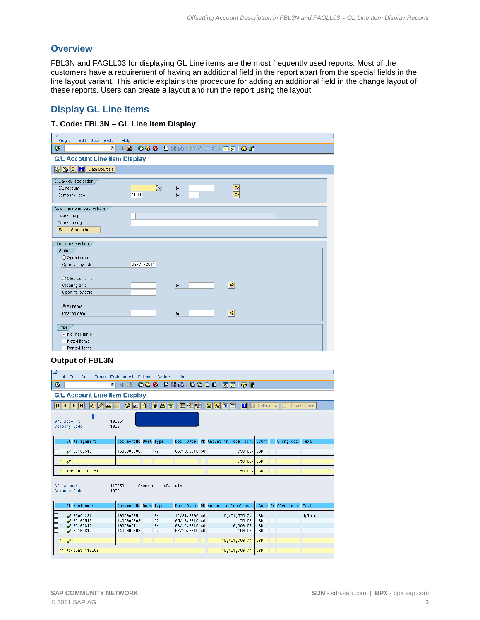## <span id="page-2-0"></span>**Overview**

FBL3N and FAGLL03 for displaying GL Line items are the most frequently used reports. Most of the customers have a requirement of having an additional field in the report apart from the special fields in the line layout variant. This article explains the procedure for adding an additional field in the change layout of these reports. Users can create a layout and run the report using the layout.

### <span id="page-2-1"></span>**Display GL Line Items**

### **T. Code: FBL3N – GL Line Item Display**

| IG<br>Program Edit Goto System       | Help       |                                           |               |
|--------------------------------------|------------|-------------------------------------------|---------------|
| Ø<br>$\blacksquare$                  |            | 4 8 6 6 6 8 8 8 8 9 9 1 2 1 2 1 2 8 8 9 8 |               |
| <b>G/L Account Line Item Display</b> |            |                                           |               |
| $\boxed{\textbf{E}}$<br>Data Sources |            |                                           |               |
| G/L account selection                |            |                                           |               |
| G/L account                          | $\bigcirc$ | to                                        | $\frac{1}{2}$ |
| Company code                         | 1000       | to                                        |               |
| Selection using search help          |            |                                           |               |
| Search help ID                       |            |                                           |               |
| Search string                        |            |                                           |               |
| $\Rightarrow$<br>Search help         |            |                                           |               |
|                                      |            |                                           |               |
| Line item selection<br>Status        |            |                                           |               |
| O Open items                         |            |                                           |               |
| Open at key date                     | 03/31/2011 |                                           |               |
|                                      |            |                                           |               |
| O Cleared items                      |            |                                           |               |
| Clearing date                        |            | to                                        | $\Rightarrow$ |
| Open at key date                     |            |                                           |               |
| All items                            |            |                                           |               |
| Posting date                         |            | to                                        | 회             |
|                                      |            |                                           |               |
| Type                                 |            |                                           |               |
| Normal items                         |            |                                           |               |
| □ Noted items                        |            |                                           |               |
| □ Parked items                       |            |                                           |               |

#### **Output of FBL3N**

| 回                                  | List Edit Goto Extras Environment Settings System Help |                                                    |                                    |                                                                  |                                               |                                                      |                     |        |
|------------------------------------|--------------------------------------------------------|----------------------------------------------------|------------------------------------|------------------------------------------------------------------|-----------------------------------------------|------------------------------------------------------|---------------------|--------|
| Ø                                  | 画上                                                     |                                                    |                                    |                                                                  |                                               |                                                      |                     |        |
|                                    | <b>G/L Account Line Item Display</b>                   |                                                    |                                    |                                                                  |                                               |                                                      |                     |        |
|                                    | $\frac{1}{2}$                                          | $ D  =  D $                                        | 7  A  7                            | 田田田                                                              | <b>EXECTED</b> Case                           |                                                      |                     |        |
| <b>G/L Account</b><br>Company Code | 1000                                                   | 100051                                             |                                    |                                                                  |                                               |                                                      |                     |        |
|                                    | St Assignment                                          | DocumentNo BusA                                    | Type                               | Doc. Date                                                        | PK Amount in local cur. LCurr Tx Clrng doc.   |                                                      |                     | Text   |
| ◢                                  | 20100513                                               | 1500000000                                         | KZ                                 | 05/13/2010 50                                                    | 750.00- USD                                   |                                                      |                     |        |
| $\pmb{\pi}$<br>✔                   |                                                        |                                                    |                                    |                                                                  | 750.00- USD                                   |                                                      |                     |        |
|                                    | ** Account 100051                                      |                                                    |                                    |                                                                  | 750.00- USD                                   |                                                      |                     |        |
| G/L Account<br>Company Code        | 1000                                                   | 113050                                             | Checking - 484 Main                |                                                                  |                                               |                                                      |                     |        |
|                                    | St Assignment                                          | DocumentNo BusA                                    | Type                               | Doc. Date                                                        | PK Amount in local cur.                       |                                                      | LCurr Tx Clrng doc. | Text   |
| ✔                                  | 20091231<br>20100513<br>20100812<br>20100812           | 100000005<br>1400000002<br>100000011<br>1400000003 | <b>SA</b><br>DZ<br><b>SA</b><br>DZ | 12/31/2009 40<br>05/13/2010 40<br>08/12/2010 40<br>07/15/2010 40 | 10,451,575.74<br>75.00<br>10.000.00<br>100.00 | <b>USD</b><br><b>USD</b><br><b>USD</b><br><b>USD</b> |                     | Uplaod |
| ×<br>✔                             |                                                        |                                                    |                                    |                                                                  | 10,461,750.74                                 | <b>USD</b>                                           |                     |        |
|                                    | ** Account 113050                                      |                                                    |                                    |                                                                  | 10.461,750.74                                 | <b>USD</b>                                           |                     |        |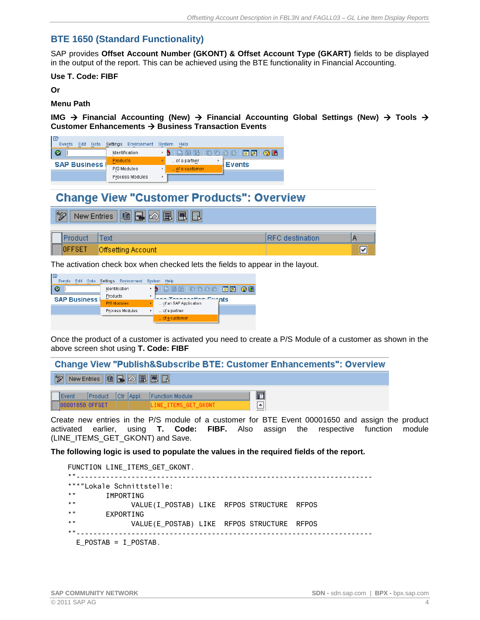## <span id="page-3-0"></span>**BTE 1650 (Standard Functionality)**

SAP provides **Offset Account Number (GKONT) & Offset Account Type (GKART)** fields to be displayed in the output of the report. This can be achieved using the BTE functionality in Financial Accounting.

**Use T. Code: FIBF**

**Or**

**Menu Path**

**IMG**  $\rightarrow$  **Financial Accounting (New)**  $\rightarrow$  **Financial Accounting Global Settings (New)**  $\rightarrow$  **Tools**  $\rightarrow$ **Customer Enhancements → Business Transaction Events** 



# **Change View "Customer Products": Overview**

| $\mathscr{D}$  | New Entries 图 日 8 8 日 日   |                  |   |
|----------------|---------------------------|------------------|---|
|                | Text                      | IRFC destination | A |
| <b>IDFFSET</b> | <b>Offsetting Account</b> |                  |   |

The activation check box when checked lets the fields to appear in the layout.

| IG<br>Events<br>Goto<br>Edit | Environment<br>Settings | System<br>Help                        |
|------------------------------|-------------------------|---------------------------------------|
| Ø                            | Identification          | 1888188881777<br>$\mathbf{Q}$ in<br>м |
| <b>SAP Business</b>          | Products                | <b>Tuenesstien Eughts</b>             |
|                              | <b>P/S Modules</b>      | of an SAP Application                 |
|                              | Process Modules         | of a partner                          |
|                              |                         | of a customer                         |
|                              |                         |                                       |

Once the product of a customer is activated you need to create a P/S Module of a customer as shown in the above screen shot using **T. Code: FIBF**

|                 |                           |           |                        | <b>Change View "Publish&amp;Subscribe BTE: Customer Enhancements": Overview</b> |
|-----------------|---------------------------|-----------|------------------------|---------------------------------------------------------------------------------|
| $\sim$          | New Entries <b>自日の日日日</b> |           |                        |                                                                                 |
| <b>IEvent</b>   | <b>IProduct</b>           | Ctr Appl. | <b>Function Module</b> | 而                                                                               |
| 00001650 OFFSET |                           |           | LINE ITEMS GET GKONT   | $\blacktriangle$                                                                |

Create new entries in the P/S module of a customer for BTE Event 00001650 and assign the product activated earlier, using **T. Code: FIBF.** Also assign the respective function module (LINE\_ITEMS\_GET\_GKONT) and Save.

**The following logic is used to populate the values in the required fields of the report.**

```
FUNCTION LINE ITEMS GET GKONT.
*"----------------------------------------------------------------------
*"*"Lokale Schnittstelle:
*" IMPORTING
               VALUE(I_POSTAB) LIKE RFPOS STRUCTURE RFPOS
*" EXPORTING
*" VALUE(E_POSTAB) LIKE RFPOS STRUCTURE RFPOS
*"----------------------------------------------------------------------
  E_POSTAB = I_POSTAB.
```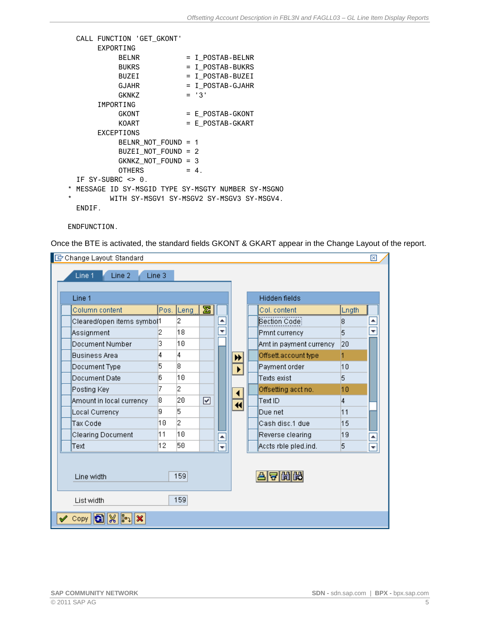|         | CALL FUNCTION 'GET GKONT'                         |                                           |
|---------|---------------------------------------------------|-------------------------------------------|
|         | EXPORTING                                         |                                           |
|         | <b>BEINR</b>                                      | $= I$ POSTAB-BELNR                        |
|         | <b>BUKRS</b>                                      | $= I$ POSTAB-BUKRS                        |
|         | <b>BUZEI</b>                                      | $= I$ POSTAB-BUZEI                        |
|         | <b>GJAHR</b>                                      | $= I$ POSTAB-GJAHR                        |
|         | <b>GKNK7</b>                                      | $= '3'$                                   |
|         | <b>TMPORTING</b>                                  |                                           |
|         | <b>GKONT</b>                                      | $= E$ POSTAB-GKONT                        |
|         | <b>KOART</b>                                      | $= E$ POSTAB-GKART                        |
|         | EXCEPTIONS                                        |                                           |
|         | BELNR NOT FOUND = 1                               |                                           |
|         | BUZEI NOT FOUND = 2                               |                                           |
|         | GKNKZ NOT FOUND = $3$                             |                                           |
|         | <b>OTHERS</b>                                     | $= 4.$                                    |
|         | IF SY-SUBRC $\leftrightarrow$ 0.                  |                                           |
| $\star$ | MESSAGE ID SY-MSGID TYPE SY-MSGTY NUMBER SY-MSGNO |                                           |
| $\star$ |                                                   | WITH SY-MSGV1 SY-MSGV2 SY-MSGV3 SY-MSGV4. |
|         | ENDIF.                                            |                                           |

ENDFUNCTION.

Once the BTE is activated, the standard fields GKONT & GKART appear in the Change Layout of the report.

|  | C Change Layout: Standard  |      |      |   |                         |   |  |                         |       | ⊠ |
|--|----------------------------|------|------|---|-------------------------|---|--|-------------------------|-------|---|
|  | Line 2<br>Line 3<br>Line 1 |      |      |   |                         |   |  |                         |       |   |
|  |                            |      |      |   |                         |   |  |                         |       |   |
|  | Line 1                     |      |      |   |                         |   |  | Hidden fields           |       |   |
|  | Column content             | Pos. | Leng | ☎ |                         |   |  | Col. content            | Lngth |   |
|  | Cleared/open items symbol1 |      | 2    |   | $\blacktriangle$        |   |  | Section Code            | 18    | ۸ |
|  | Assignment                 | 2    | 18   |   | ₹                       |   |  | Pmnt currency           | 5     |   |
|  | Document Number            | 3    | 10   |   |                         |   |  | Amt in payment currency | 20    |   |
|  | Business Area              | 4    | 4    |   |                         | ₩ |  | Offsett.account type    | 1     |   |
|  | Document Type              | 5    | 8    |   |                         |   |  | Payment order           | 10    |   |
|  | Document Date              | 6    | 10   |   |                         |   |  | Texts exist             | 5     |   |
|  | Posting Key                | 7    | 2    |   |                         |   |  | Offsetting acct no.     | 10    |   |
|  | Amount in local currency   | 18   | 20   | ☑ |                         | ៕ |  | Text ID                 | 4     |   |
|  | Local Currency             | g.   | 5    |   |                         |   |  | Due net                 | 11    |   |
|  | lTax Code                  | 10   | 2    |   |                         |   |  | Cash disc.1 due         | 15    |   |
|  | Clearing Document          | 11   | 10   |   | $\triangleq$            |   |  | Reverse clearing        | 19    |   |
|  | Text                       | 12   | 50   |   | $\overline{\mathbf{v}}$ |   |  | Accts rble pled.ind.    | 5     |   |
|  |                            |      |      |   |                         |   |  |                         |       |   |
|  |                            |      |      |   |                         |   |  |                         |       |   |
|  | Line width                 |      | 159  |   |                         |   |  | A 7 H H                 |       |   |
|  |                            |      |      |   |                         |   |  |                         |       |   |
|  | List width                 |      | 159  |   |                         |   |  |                         |       |   |
|  | X  ⊪1<br>×<br>Copy         |      |      |   |                         |   |  |                         |       |   |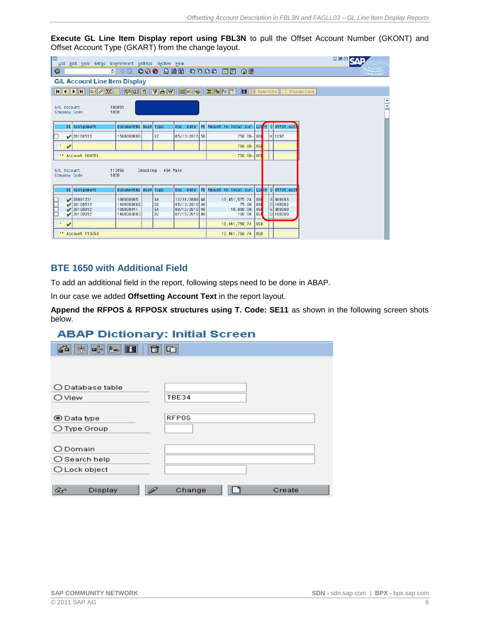**Execute GL Line Item Display report using FBL3N** to pull the Offset Account Number (GKONT) and Offset Account Type (GKART) from the change layout.

| IG<br>List Edit Goto Extras Environment Settings System Help                                                       |                                                                                                             |                                                                                                                                                           | <b>HEE CAP</b>       |
|--------------------------------------------------------------------------------------------------------------------|-------------------------------------------------------------------------------------------------------------|-----------------------------------------------------------------------------------------------------------------------------------------------------------|----------------------|
| Ø                                                                                                                  |                                                                                                             |                                                                                                                                                           |                      |
| <b>G/L Account Line Item Display</b>                                                                               |                                                                                                             |                                                                                                                                                           |                      |
| $\frac{1}{2}$<br>  61 61 61                                                                                        |                                                                                                             | <b>H H</b> Selections <b>D</b>                                                                                                                            | Dispute Case         |
| 100051<br><b>G/L Account</b><br>Company Code<br>1000                                                               |                                                                                                             |                                                                                                                                                           | $\frac{1}{\sqrt{2}}$ |
| StiAssianment                                                                                                      | DocumentNo BusA Type<br>Doc. Date                                                                           | LCurr O Offst.acct<br>PK Amount in local cur.                                                                                                             |                      |
| 20100513<br>1500000000                                                                                             | 05/13/2010 50<br>KZ                                                                                         | 750.00- USD<br>K 1297                                                                                                                                     |                      |
| $\pmb{\star}$<br>✔                                                                                                 |                                                                                                             | 750.00- USD                                                                                                                                               |                      |
| ** Account 100051                                                                                                  |                                                                                                             | 750.00- USD                                                                                                                                               |                      |
| G/L Account<br>113050<br>Company Code<br>1888                                                                      | Checking - 484 Main                                                                                         |                                                                                                                                                           |                      |
| St Assignment                                                                                                      | DocumentNo BusA Type<br>Doc. Date                                                                           | PK Amount in local cur.<br>l LCurri Ol Offst Lacct                                                                                                        |                      |
| 120091231<br>100000005<br>✔<br>20100513<br>1400000002<br>✔<br>20100812<br>100000011<br>✔<br>20100812<br>1400000003 | <b>SA</b><br>12/31/2009 40<br>DZ<br>05/13/2010 40<br><b>SA</b><br>  08/12/2010   40<br>07/15/2010 40<br>DZ. | S 999103<br>10, 451, 575.74<br><b>USD</b><br>D 180002<br>75.00<br>l ust<br>10.000.00<br>S 900000<br><b>Just</b><br>100.00<br>USD <sub>1</sub><br>D 100000 |                      |
| $\pmb{\star}$<br>✔                                                                                                 |                                                                                                             | <b>USD</b><br>10,461,750.74                                                                                                                               |                      |
| ** Account 113050                                                                                                  |                                                                                                             | $ $ USD<br>10.461.750.74                                                                                                                                  |                      |

### <span id="page-5-0"></span>**BTE 1650 with Additional Field**

To add an additional field in the report, following steps need to be done in ABAP.

In our case we added **Offsetting Account Text** in the report layout.

**Append the RFPOS & RFPOSX structures using T. Code: SE11** as shown in the following screen shots below.

## **ABAP Dictionary: Initial Screen**

| $\left \mathbf{E}^{\mathrm{A}}_{\mathrm{M}}\right $ $\left \mathbf{H}_{\mathrm{H}\mathrm{C}}\right $<br>ኇ፞<br>罪<br>m<br>Œ | m                |
|---------------------------------------------------------------------------------------------------------------------------|------------------|
|                                                                                                                           |                  |
| $\bigcirc$ Database table                                                                                                 |                  |
| <b>O</b> View                                                                                                             | <b>TBE34</b>     |
|                                                                                                                           |                  |
| $\circledcirc$ Data type                                                                                                  | <b>RFPOS</b>     |
| O Type Group                                                                                                              |                  |
|                                                                                                                           |                  |
| O Domain                                                                                                                  |                  |
| $\bigcirc$ Search help                                                                                                    |                  |
| O Lock object                                                                                                             |                  |
|                                                                                                                           |                  |
| ଙ<br>Display<br>4                                                                                                         | Create<br>Change |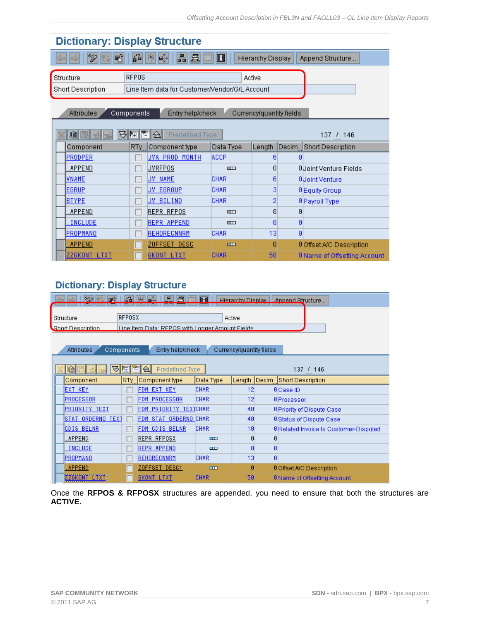| <b>Dictionary: Display Structure</b>          |              |                                                 |                |                          |          |                                     |
|-----------------------------------------------|--------------|-------------------------------------------------|----------------|--------------------------|----------|-------------------------------------|
| 9<br>喑                                        | 60           | 瞐<br>囩<br>죽<br> 淅                               | $ \mathbf{H} $ | Hierarchy Display        |          | Append Structure                    |
| Structure<br>Short Description                | <b>RFPOS</b> | Line Item data for Customer/Vendor/G/L Account  |                | Active                   |          |                                     |
| <b>Components</b><br><b>Attributes</b><br>e e | 囿            | Entry help/check<br>ri<br>B.<br>Predefined Type |                | Currency/quantity fields |          | 137 / 146                           |
| Component                                     | RTy.         | Component type                                  | Data Type      | Length                   | Decim    | Short Description                   |
| PRODPER                                       |              | JVA PROD MONTH                                  | ACCP           | ĥ                        | A        |                                     |
| . APPEND                                      |              | JVRFPOS.                                        | $\Box$         | Θ                        |          | <b>Olinint Venture Fields</b>       |
| IVNAME                                        |              | JV NAME                                         | CHAR           | 6                        |          | <b>OUpint Venture</b>               |
| <b>EGRUP</b>                                  |              | JV EGROUP                                       | CHAR           | 3                        |          | <b>OEquity Group</b>                |
| BTYPE                                         |              | JV BILIND                                       | CHAR           | 2                        |          | <b>O</b> Payroll Type               |
| APPEND.                                       |              | REPR RFPOS                                      | $\Box$         | Θ                        | Ø        |                                     |
| <b>INCLUDE</b>                                |              | REPR APPEND                                     | $\Box$         | Θ                        | 0        |                                     |
| <b>PROPMANO</b>                               |              | REHORECNNRM                                     | CHAR           | 13                       | $\theta$ |                                     |
| <b>APPEND</b>                                 |              | ZOFFSET DESC                                    | $\Box$         | ø                        |          | 0 Offset A/C Description            |
| ZZGKONT LTXT                                  |              | <b>GKONT LTXT</b>                               | <b>CHAR</b>    | 50                       |          | <b>0 Name of Offsetting Account</b> |

# **Dictionary: Display Structure**

| <b>The St</b><br>602     | ALAH ※HAH HEHELY<br>alett                        | Hierarchy Disnlay   Annend Structure |  |
|--------------------------|--------------------------------------------------|--------------------------------------|--|
| Structure                | RFPOSX                                           | Active                               |  |
| <b>Short Description</b> | Line Item Data: REPOS with Longer Amount Fields. |                                      |  |

| <b>Attributes</b><br>Components<br>Currency/quantity fields<br>Entry help/check |  |                       |                         |                 |   |                                              |  |  |  |  |  |  |
|---------------------------------------------------------------------------------|--|-----------------------|-------------------------|-----------------|---|----------------------------------------------|--|--|--|--|--|--|
|                                                                                 |  |                       |                         |                 |   |                                              |  |  |  |  |  |  |
| 陌<br>囿<br>ਦ<br>$\hat{\mathbb{A}}$<br>喻<br>Predefined Type<br>137 / 146          |  |                       |                         |                 |   |                                              |  |  |  |  |  |  |
| Component                                                                       |  | RTy Component type    | Data Type               | Length          |   | Decim Short Description                      |  |  |  |  |  |  |
| IEXT KEY                                                                        |  | FDM EXT KEY           | <b>CHAR</b>             | 12 <sup>1</sup> |   | 0 Case ID                                    |  |  |  |  |  |  |
| PROCESSOR                                                                       |  | FDM PROCESSOR         | <b>CHAR</b>             | 12              |   | <b>OProcessor</b>                            |  |  |  |  |  |  |
| PRIORITY TEXT                                                                   |  | FDM PRIORITY TEXICHAR |                         | 40              |   | <b>OPriority of Dispute Case</b>             |  |  |  |  |  |  |
| ISTAT ORDERNO TEXT                                                              |  | FDM STAT ORDERNO CHAR |                         | 40              |   | <b>OStatus of Dispute Case</b>               |  |  |  |  |  |  |
| CDIS BELNR                                                                      |  | FDM CDIS BELNR        | <b>ICHAR</b>            | 10              |   | <b>ORelated Invoice Is Customer-Disputed</b> |  |  |  |  |  |  |
| . APPEND                                                                        |  | REPR RFPOSX           | $\overline{\mathbf{u}}$ | Θ               | Θ |                                              |  |  |  |  |  |  |
| .INCLUDE                                                                        |  | <b>REPR APPEND</b>    | $\Box$                  | ø               | A |                                              |  |  |  |  |  |  |
| <b>PROPMANO</b>                                                                 |  | <b>REHORECNNRM</b>    | CHAR                    | 13              | A |                                              |  |  |  |  |  |  |
| <b>APPEND</b>                                                                   |  | ZOFFSET DESC1         | $\overline{\mathbf{m}}$ | Θ               |   | 0 Offset A/C Description                     |  |  |  |  |  |  |
| <b>ZZGKONT LTXT</b>                                                             |  | <b>GKONT LTXT</b>     | <b>CHAR</b>             | 50              |   | <b>0 Name of Offsetting Account</b>          |  |  |  |  |  |  |

Once the **RFPOS & RFPOSX** structures are appended, you need to ensure that both the structures are **ACTIVE.**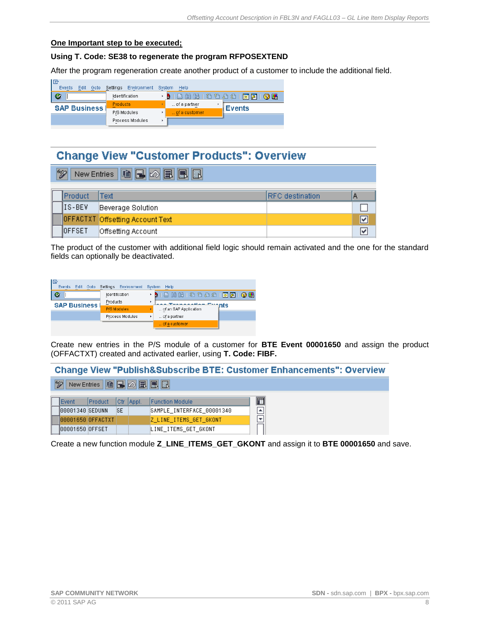### **One Important step to be executed;**

### **Using T. Code: SE38 to regenerate the program RFPOSEXTEND**

After the program regeneration create another product of a customer to include the additional field.

| Ic<br>Events<br>Edit<br>Goto | Environment<br>Settings | System<br>Help                |
|------------------------------|-------------------------|-------------------------------|
| Ø                            | Identification          | 問問<br>  着色的幻  累厚              |
| <b>SAP Business</b>          | <b>Products</b>         | of a partner<br><b>Events</b> |
|                              | P/S Modules             | of a customer                 |
|                              | Process Modules         |                               |

# **Change View "Customer Products": Overview**

| 89<br>New Entries   自日め日日日 |                                         |                        |                         |  |  |  |  |  |
|----------------------------|-----------------------------------------|------------------------|-------------------------|--|--|--|--|--|
| <b>Product</b>             | Text                                    | <b>RFC</b> destination | Α                       |  |  |  |  |  |
| IS-BEV                     | Beverage Solution                       |                        |                         |  |  |  |  |  |
|                            | <b>OFFACTXT</b> Offsetting Account Text |                        | $\boxed{\triangledown}$ |  |  |  |  |  |
| <b>IOFFSET</b>             | Offsetting Account                      |                        | ⊽                       |  |  |  |  |  |

The product of the customer with additional field logic should remain activated and the one for the standard fields can optionally be deactivated.

| IG<br>Goto<br>Events<br>Edit | Settings<br>Environment | System<br>Help               |
|------------------------------|-------------------------|------------------------------|
| Ø                            | Identification          | 18 H H H 18 H 18 H 18 H 18 H |
| <b>SAP Business</b>          | Products                | ٠<br><b>Address Emanufis</b> |
|                              | <b>P/S Modules</b>      | of an SAP Application        |
|                              | Process Modules         | of a partner                 |
|                              |                         | of a customer                |

Create new entries in the P/S module of a customer for **BTE Event 00001650** and assign the product (OFFACTXT) created and activated earlier, using **T. Code: FIBF.** 

| <b>Change View "Publish&amp;Subscribe BTE: Customer Enhancements": Overview</b> |                 |      |           |                           |                     |  |  |  |  |  |
|---------------------------------------------------------------------------------|-----------------|------|-----------|---------------------------|---------------------|--|--|--|--|--|
| 600<br>New Entries <b>自日の日日日</b>                                                |                 |      |           |                           |                     |  |  |  |  |  |
|                                                                                 |                 |      |           |                           |                     |  |  |  |  |  |
| IEvent.                                                                         | <b>IProduct</b> |      | Ctr Appl. | <b>Function Module</b>    | 団                   |  |  |  |  |  |
| 100001340 SEDUNN                                                                |                 | ISE. |           | SAMPLE INTERFACE 00001340 | $\blacktriangle$    |  |  |  |  |  |
| 00001650 OFFACTXT                                                               |                 |      |           | Z LINE ITEMS GET GKONT    | $\overline{\nabla}$ |  |  |  |  |  |
| 00001650 OFFSET                                                                 |                 |      |           | LINE_ITEMS_GET_GKONT      |                     |  |  |  |  |  |

Create a new function module **Z\_LINE\_ITEMS\_GET\_GKONT** and assign it to **BTE 00001650** and save.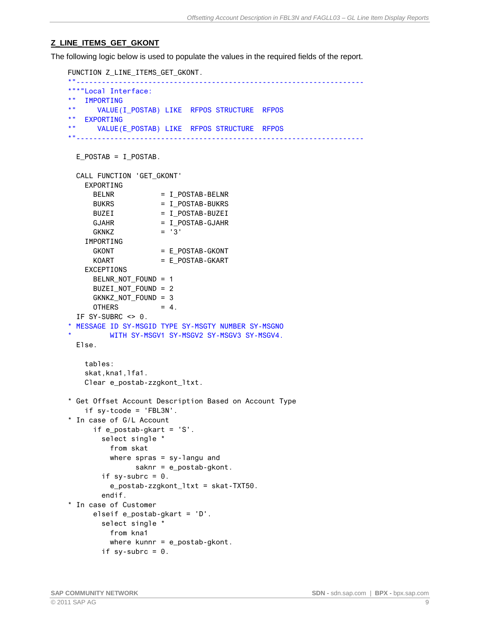### **Z\_LINE\_ITEMS\_GET\_GKONT**

The following logic below is used to populate the values in the required fields of the report.

```
FUNCTION Z_LINE_ITEMS_GET_GKONT.
*"--------------------------------------------------------------------
*"*"Local Interface:
*" IMPORTING
*" VALUE(I_POSTAB) LIKE RFPOS STRUCTURE RFPOS
*" EXPORTING
*" VALUE(E_POSTAB) LIKE RFPOS STRUCTURE RFPOS
*"--------------------------------------------------------------------
  E_POSTAB = I_POSTAB.
  CALL FUNCTION 'GET_GKONT'
    EXPORTING
     BELNR = I_POSTAB-BELNR
     BUKRS = I_POSTAB-BUKRS
     BUZEI = I_POSTAB-BUZEI
     GJAHR = I_POSTAB-GJAHR
     GKNKZ = '3' IMPORTING
     GKONT = E_POSTAB-GKONT
     KOART = E_POSTAB-GKART
    EXCEPTIONS
      BELNR_NOT_FOUND = 1
      BUZEI_NOT_FOUND = 2
      GKNKZ_NOT_FOUND = 3
     OTHERS = 4.
 IF SY-SUBRC \iff 0.
* MESSAGE ID SY-MSGID TYPE SY-MSGTY NUMBER SY-MSGNO
         WITH SY-MSGV1 SY-MSGV2 SY-MSGV3 SY-MSGV4.
  Else.
    tables:
    skat,kna1,lfa1.
    Clear e_postab-zzgkont_ltxt.
* Get Offset Account Description Based on Account Type
    if sy-tcode = 'FBL3N'.
* In case of G/L Account
      if e_postab-gkart = 'S'.
        select single *
          from skat
          where spras = sy-langu and
                saknr = e_postab-gkont.
       if sy-subrc = 0.
          e_postab-zzgkont_ltxt = skat-TXT50.
        endif.
* In case of Customer
      elseif e_postab-gkart = 'D'.
        select single *
          from kna1
          where kunnr = e_postab-gkont.
       if sy-subrc = 0.
```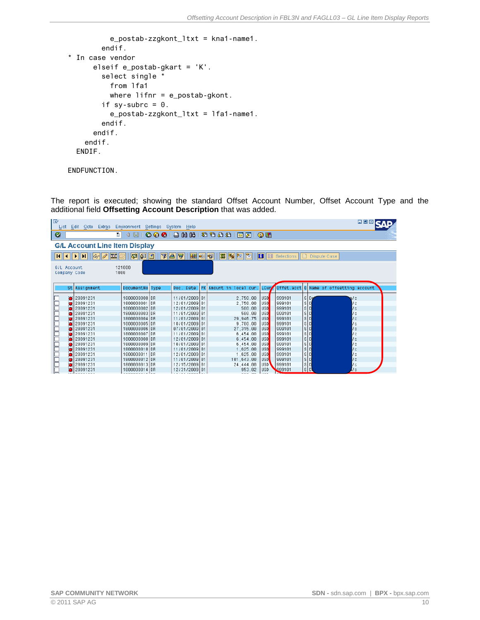```
 e_postab-zzgkont_ltxt = kna1-name1.
         endif.
* In case vendor
       elseif e_postab-gkart = 'K'.
         select single *
           from lfa1
           where lifnr = e_postab-gkont.
        if sy-subrc = 0.
           e_postab-zzgkont_ltxt = lfa1-name1.
         endif.
       endif.
     endif.
   ENDIF.
```
ENDFUNCTION.

The report is executed; showing the standard Offset Account Number, Offset Account Type and the additional field **Offsetting Account Description** that was added.

| lG                                                                                                             | List Edit Goto Extras Environment Settings System Help |                    |  |                      |  |                                     |                   |        |                  | <b>EEE CAD</b>                          |  |  |
|----------------------------------------------------------------------------------------------------------------|--------------------------------------------------------|--------------------|--|----------------------|--|-------------------------------------|-------------------|--------|------------------|-----------------------------------------|--|--|
|                                                                                                                |                                                        |                    |  |                      |  |                                     |                   |        |                  |                                         |  |  |
| ◙                                                                                                              | ū                                                      | 4 H                |  |                      |  | <b>000128810000187105</b>           |                   |        |                  |                                         |  |  |
|                                                                                                                | <b>G/L Account Line Item Display</b>                   |                    |  |                      |  |                                     |                   |        |                  |                                         |  |  |
| 噩<br>图图图<br>[Tele]<br>田田田<br>aid.<br>$\mathbf{H}$<br>$\blacksquare$<br>∣ஓி<br>Selections    []<br>Dispute Case |                                                        |                    |  |                      |  |                                     |                   |        |                  |                                         |  |  |
|                                                                                                                | G/L Account<br>121000                                  |                    |  |                      |  |                                     |                   |        |                  |                                         |  |  |
| Company Code                                                                                                   | 1000                                                   |                    |  |                      |  |                                     |                   |        |                  |                                         |  |  |
|                                                                                                                |                                                        |                    |  |                      |  |                                     |                   |        |                  |                                         |  |  |
|                                                                                                                | St Assignment                                          | DocumentNo   Type  |  | Doc. Date            |  | <b>PK</b> Amount in local cur. LCur |                   |        |                  | Offst.acct 0 Name of offsetting account |  |  |
|                                                                                                                | 20091231                                               | 1800000000 DR      |  | 11/01/2009 01        |  | 2,750.00                            | <b>USD</b>        | 999101 |                  | S De<br>a/c                             |  |  |
|                                                                                                                | 20091231                                               | 1800000001 DR      |  | 12/01/2009 01        |  | 2,750.00                            | <b>USD</b>        | 999101 | S D              | 7c                                      |  |  |
|                                                                                                                | 20091231                                               | 1800000002 DR      |  | 12/01/2009 01        |  | 500.00                              | <b>USD</b>        | 999101 | $S$ <sub>D</sub> | 7c                                      |  |  |
|                                                                                                                | 20091231                                               | 1800000003 DR      |  | 11/01/2009 01        |  | 500.00                              | <b>USD</b>        | 999101 | s D              | 7c                                      |  |  |
|                                                                                                                | 20091231                                               | 1800000004 DR      |  | 11/01/2009 01        |  | 29,946.75                           | <b>USD</b>        | 999101 | s D              | 7 c                                     |  |  |
|                                                                                                                | 20091231                                               | 1800000005 DR      |  | 10/01/2009 01        |  | 9,780.00                            | <b>USD</b>        | 999181 | S D              | 7c                                      |  |  |
|                                                                                                                | 20091231                                               | 1800000006 DR      |  | 07/01/2009 01        |  | 27,315.00                           | <b>USD</b>        | 999101 | $S$ <sub>D</sub> | /c                                      |  |  |
|                                                                                                                | 20091231                                               | 1800000007 DR      |  | 11/01/2009 01        |  | 6,454.00                            | <b>USD</b>        | 999101 | S D              | 7c                                      |  |  |
|                                                                                                                | 20091231                                               | 1800000008 DR      |  | 12/01/2009 01        |  | 6,454.00                            | <b>USD</b>        | 999101 | $S$ <sub>D</sub> | l/c                                     |  |  |
|                                                                                                                | 20091231                                               | 1800000009 DR      |  | 10/01/2009 01        |  | 6,454.00                            | <b>USD</b>        | 999101 | S D              | 7c                                      |  |  |
|                                                                                                                | ari 20091231                                           | 1800000010 DR      |  | 11/01/2009 01        |  | 1,625.00                            | luspi             | 999101 | s D              | 7c                                      |  |  |
|                                                                                                                | 20091231                                               | 1800000011 DR      |  | 12/01/2009 01        |  | 1,625.00                            | <b>USD</b>        | 999101 | S D              | 7c                                      |  |  |
|                                                                                                                | a 20091231                                             | 1800000012 DR      |  | 11/01/2009 01        |  | 101,643.00                          | <b>IUSD</b>       | 999101 | s D              | 7c                                      |  |  |
|                                                                                                                | 20091231                                               | 1800000013 DR      |  | 12/15/2009 01        |  | 24,444.00                           | USD'              | 999101 | s D              | 7c                                      |  |  |
|                                                                                                                | 20091231<br>--------                                   | 1800000014 DR<br>. |  | 12/31/2009 01<br>. 1 |  | 953.82<br>---- --                   | lusd.<br>$\cdots$ | 999101 | s N              | 7c                                      |  |  |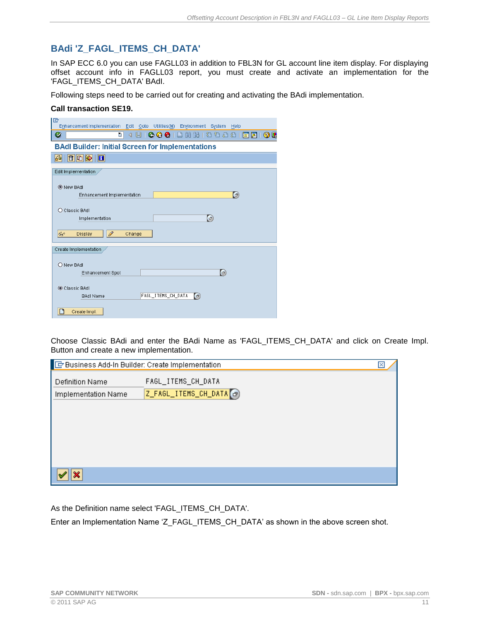# <span id="page-10-0"></span>**BAdi 'Z\_FAGL\_ITEMS\_CH\_DATA'**

In SAP ECC 6.0 you can use FAGLL03 in addition to FBL3N for GL account line item display. For displaying offset account info in FAGLL03 report, you must create and activate an implementation for the 'FAGL\_ITEMS\_CH\_DATA' BAdI.

Following steps need to be carried out for creating and activating the BAdi implementation.

### **Call transaction SE19.**

| le<br>Enhancement Implementation<br>Edit Goto Utilities(M)<br>Environment System<br>Help                                             |
|--------------------------------------------------------------------------------------------------------------------------------------|
| Ø<br>000128212002<br>ū<br>归<br>◁<br><b>? Li</b><br>※ 2                                                                               |
| <b>BAdl Builder: Initial Screen for Implementations</b>                                                                              |
| 碱<br>$\blacksquare$                                                                                                                  |
| Edit Implementation                                                                                                                  |
| (C) New BAdl<br>$\left( \mathbf{F}\right)$<br>Enhancement Implementation                                                             |
| O Classic BAdl<br>$\left( \mathbf{r}\right)$<br>Implementation                                                                       |
| $\mathcal{C}_{\mathcal{C}}$<br>0<br>Display<br>Change                                                                                |
| Create Implementation                                                                                                                |
| O New BAdl<br>$\bigoplus$<br><b>Enhancement Spot</b>                                                                                 |
| Classic BAdl<br>FAGL_ITEMS_CH_DATA<br>$\left( \begin{matrix} \begin{matrix} 1 \end{matrix} \end{matrix} \right)$<br><b>BAdl Name</b> |
| Create Impl.                                                                                                                         |

Choose Classic BAdi and enter the BAdi Name as 'FAGL\_ITEMS\_CH\_DATA' and click on Create Impl. Button and create a new implementation.

| Business Add-In Builder: Create Implementation |                                            |  |
|------------------------------------------------|--------------------------------------------|--|
| Definition Name<br>Implementation Name         | FAGL_ITEMS_CH_DATA<br>Z_FAGL_ITEMS_CH_DATA |  |
|                                                |                                            |  |

As the Definition name select 'FAGL\_ITEMS\_CH\_DATA'.

Enter an Implementation Name 'Z\_FAGL\_ITEMS\_CH\_DATA' as shown in the above screen shot.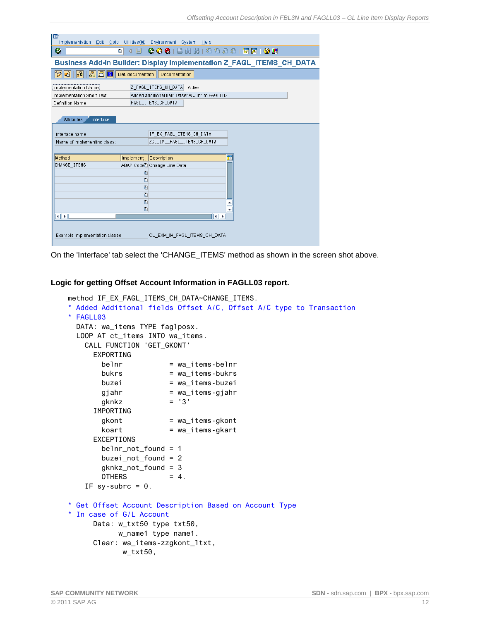| Ie<br>Implementation Edit Goto Utilities(M) Environment System       |                          | Help                                               |  |  |  |  |  |  |  |  |
|----------------------------------------------------------------------|--------------------------|----------------------------------------------------|--|--|--|--|--|--|--|--|
| Ø                                                                    | Ū<br>◁                   | 66 K   28 H A 28   K <mark>27 10 G</mark><br>@@@@@ |  |  |  |  |  |  |  |  |
| Business Add-In Builder: Display Implementation Z_FAGL_ITEMS_CH_DATA |                          |                                                    |  |  |  |  |  |  |  |  |
| 岡<br>$\mathbb{E} \mathbb{E} \mathbb{E}$<br>Fî<br>⊗                   | Def. documentatn         | Documentation                                      |  |  |  |  |  |  |  |  |
| Implementation Name                                                  |                          | Z_FAGL_ITEMS_CH_DATA<br>Active                     |  |  |  |  |  |  |  |  |
| Implementation Short Text                                            |                          | Added additional field Offset A/C inf. to FAGLL03  |  |  |  |  |  |  |  |  |
| <b>Definition Name</b>                                               |                          | FAGL_ITEMS_CH_DATA                                 |  |  |  |  |  |  |  |  |
| Interface<br><b>Attributes</b>                                       |                          |                                                    |  |  |  |  |  |  |  |  |
| Interface name                                                       | IF EX FAGL ITEMS CH DATA |                                                    |  |  |  |  |  |  |  |  |
| Name of implementing class:                                          |                          | ZCL_IM__FAGL_ITEMS_CH_DATA                         |  |  |  |  |  |  |  |  |
|                                                                      |                          |                                                    |  |  |  |  |  |  |  |  |
| Method                                                               | Implement                | ī۳<br>Description                                  |  |  |  |  |  |  |  |  |
| CHANGE_ITEMS                                                         |                          | ABAP Cod∈ି Change Line Data                        |  |  |  |  |  |  |  |  |
|                                                                      | 直                        |                                                    |  |  |  |  |  |  |  |  |
|                                                                      | 面                        |                                                    |  |  |  |  |  |  |  |  |
|                                                                      | 圁                        |                                                    |  |  |  |  |  |  |  |  |
|                                                                      | 面                        |                                                    |  |  |  |  |  |  |  |  |
| 画                                                                    |                          |                                                    |  |  |  |  |  |  |  |  |
|                                                                      | 面                        | $\overline{\phantom{a}}$                           |  |  |  |  |  |  |  |  |
| <b>FIF</b>                                                           |                          | $\blacksquare$                                     |  |  |  |  |  |  |  |  |
|                                                                      |                          |                                                    |  |  |  |  |  |  |  |  |
| Example implementation clasee                                        |                          | CL_EXM_IM_FAGL_ITEMS_CH_DATA                       |  |  |  |  |  |  |  |  |
|                                                                      |                          |                                                    |  |  |  |  |  |  |  |  |

On the 'Interface' tab select the 'CHANGE\_ITEMS' method as shown in the screen shot above.

#### **Logic for getting Offset Account Information in FAGLL03 report.**

```
method IF_EX_FAGL_ITEMS_CH_DATA~CHANGE_ITEMS.
* Added Additional fields Offset A/C, Offset A/C type to Transaction
* FAGLL03
  DATA: wa_items TYPE faglposx.
  LOOP AT ct_items INTO wa_items.
    CALL FUNCTION 'GET_GKONT'
      EXPORTING
       belnr = wa_items-belnr
        bukrs = wa_items-bukrs
       buzei = wa_items-buzei
       gjahr = wa_items-gjahr
       gknkz = '3' IMPORTING
       gkont = wa_items-gkont
       koart = wa_items-gkart EXCEPTIONS
        belnr_not_found = 1
        buzei_not_found = 2
        gknkz_not_found = 3
       OTHERS = 4.
   IF sy-subrc = 0.
* Get Offset Account Description Based on Account Type
* In case of G/L Account
      Data: w_txt50 type txt50,
            w_name1 type name1.
      Clear: wa_items-zzgkont_ltxt,
             w_txt50,
```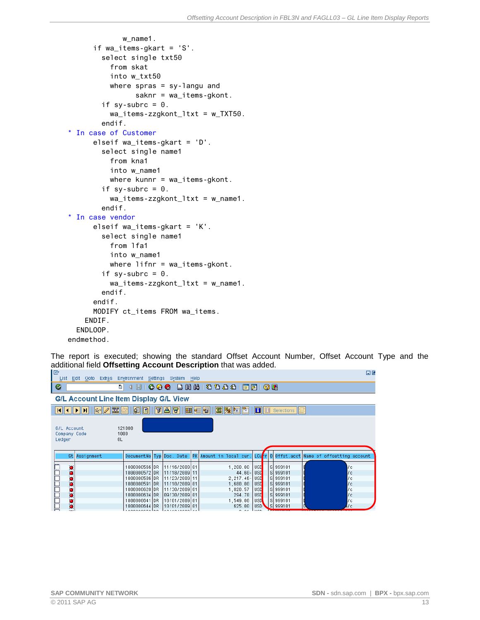```
 w_name1.
       if wa_items-gkart = 'S'.
         select single txt50
           from skat
           into w_txt50
           where spras = sy-langu and
                  saknr = wa_items-gkont.
        if sv-subrc = 0.
          wa_items-zzgkont_ltxt = w_TXT50.
         endif.
* In case of Customer
       elseif wa_items-gkart = 'D'.
         select single name1
           from kna1
           into w_name1
           where kunnr = wa_items-gkont.
        if sy-subrc = 0.
          wa_items-zzgkont_ltxt = w_name1.
         endif.
* In case vendor
       elseif wa_items-gkart = 'K'.
         select single name1
           from lfa1
           into w_name1
          where lifnr = wa items-gkont.if sy-subrc = 0.
          wa_items-zzgkont_ltxt = w_name1.
         endif.
       endif.
       MODIFY ct_items FROM wa_items.
     ENDIF.
   ENDLOOP.
endmethod.
```
The report is executed; showing the standard Offset Account Number, Offset Account Type and the additional field **Offsetting Account Description** that was added. $\Box$ 

|                                                                                                                                                        | List Edit Goto Extras Environment Settings System Help |                                                                                                    |  |                                                                                                           |  |                                                                          |                                                                                                            |  |                                                                                           | ے س                                                                            |  |
|--------------------------------------------------------------------------------------------------------------------------------------------------------|--------------------------------------------------------|----------------------------------------------------------------------------------------------------|--|-----------------------------------------------------------------------------------------------------------|--|--------------------------------------------------------------------------|------------------------------------------------------------------------------------------------------------|--|-------------------------------------------------------------------------------------------|--------------------------------------------------------------------------------|--|
| Ø                                                                                                                                                      | ΘI                                                     | <b>4 日</b>                                                                                         |  |                                                                                                           |  | <b>0001880000180106</b>                                                  |                                                                                                            |  |                                                                                           |                                                                                |  |
| G/L Account Line Item Display G/L View                                                                                                                 |                                                        |                                                                                                    |  |                                                                                                           |  |                                                                          |                                                                                                            |  |                                                                                           |                                                                                |  |
| $ \omega $<br>日日<br><u>abla</u><br>田田田<br>$\boxed{2}$<br>$H$ $H$<br>$\mathbf{R}$ $\mathbf{H}$ $\mathbf{H}$ $\mathbf{H}$ $\mathbf{H}$<br>Selections IIE |                                                        |                                                                                                    |  |                                                                                                           |  |                                                                          |                                                                                                            |  |                                                                                           |                                                                                |  |
| Ledger                                                                                                                                                 | G/L Account<br>121000<br>1000<br>Company Code<br>ΘL    |                                                                                                    |  |                                                                                                           |  |                                                                          |                                                                                                            |  |                                                                                           |                                                                                |  |
|                                                                                                                                                        | St Assignment                                          |                                                                                                    |  |                                                                                                           |  | DocumentNo Typ Doc. Date PK Amount in local cur.                         |                                                                                                            |  |                                                                                           | LCurr 0 Offst acct Name of offsetting account                                  |  |
|                                                                                                                                                        |                                                        | 1800000566 DR<br>1800000572 DR<br>1800000586 DR<br>1800000591 DR<br>1800000628 DR<br>1800000634 DR |  | 11/16/2009 01<br>111/18/2009 11<br>111/23/2009 11<br>117/1072009 01<br>11/30/2009 01<br>  09/30/2009   01 |  | 1,200.00<br>$44.60 -$<br>$2, 217.46 -$<br>1,680.00<br>1,020.57<br>294.78 | <b>USD</b><br><b>USD</b><br>USD <sup>1</sup><br><b>USD</b><br>USD <sup>1</sup><br><b>USD</b><br><b>USD</b> |  | S 999101<br>. SI 999101<br>$S$   999101<br>S 999101<br>S 999101<br>S 999101<br>  S 399101 | l/c<br>1 <sup>c</sup><br>IJс.<br>1 <sup>c</sup><br>/c<br>1 <sup>c</sup><br>7 c |  |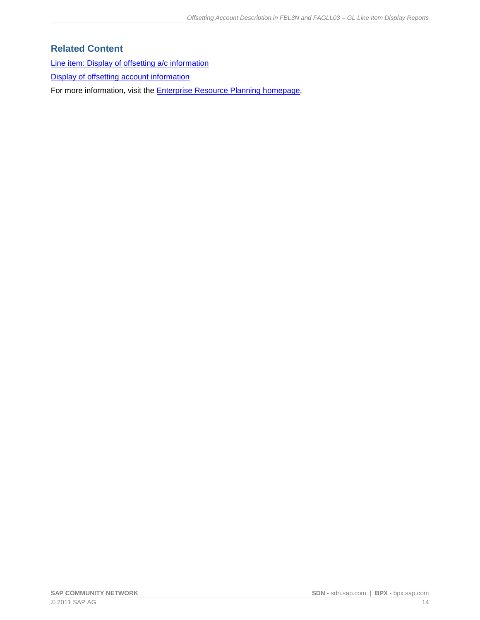## <span id="page-13-0"></span>**Related Content**

[Line item: Display of offsetting a/c information](https://service.sap.com/sap/support/notes/112312)

[Display of offsetting account information](https://service.sap.com/sap/support/notes/1034354)

For more information, visit the **Enterprise Resource Planning homepage**.